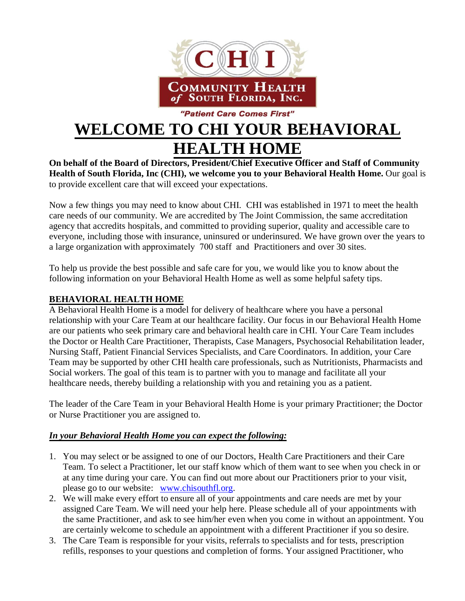

# **WELCOME TO CHI YOUR BEHAVIORAL HEALTH HOME**

**On behalf of the Board of Directors, President/Chief Executive Officer and Staff of Community Health of South Florida, Inc (CHI), we welcome you to your Behavioral Health Home.** Our goal is to provide excellent care that will exceed your expectations.

Now a few things you may need to know about CHI. CHI was established in 1971 to meet the health care needs of our community. We are accredited by The Joint Commission, the same accreditation agency that accredits hospitals, and committed to providing superior, quality and accessible care to everyone, including those with insurance, uninsured or underinsured. We have grown over the years to a large organization with approximately 700 staff and Practitioners and over 30 sites.

To help us provide the best possible and safe care for you, we would like you to know about the following information on your Behavioral Health Home as well as some helpful safety tips.

### **BEHAVIORAL HEALTH HOME**

A Behavioral Health Home is a model for delivery of healthcare where you have a personal relationship with your Care Team at our healthcare facility. Our focus in our Behavioral Health Home are our patients who seek primary care and behavioral health care in CHI. Your Care Team includes the Doctor or Health Care Practitioner, Therapists, Case Managers, Psychosocial Rehabilitation leader, Nursing Staff, Patient Financial Services Specialists, and Care Coordinators. In addition, your Care Team may be supported by other CHI health care professionals, such as Nutritionists, Pharmacists and Social workers. The goal of this team is to partner with you to manage and facilitate all your healthcare needs, thereby building a relationship with you and retaining you as a patient.

The leader of the Care Team in your Behavioral Health Home is your primary Practitioner; the Doctor or Nurse Practitioner you are assigned to.

## *In your Behavioral Health Home you can expect the following:*

- 1. You may select or be assigned to one of our Doctors, Health Care Practitioners and their Care Team. To select a Practitioner, let our staff know which of them want to see when you check in or at any time during your care. You can find out more about our Practitioners prior to your visit, please go to our website: [www.chisouthfl.org.](http://www.chisouthfl.org/)
- 2. We will make every effort to ensure all of your appointments and care needs are met by your assigned Care Team. We will need your help here. Please schedule all of your appointments with the same Practitioner, and ask to see him/her even when you come in without an appointment. You are certainly welcome to schedule an appointment with a different Practitioner if you so desire.
- 3. The Care Team is responsible for your visits, referrals to specialists and for tests, prescription refills, responses to your questions and completion of forms. Your assigned Practitioner, who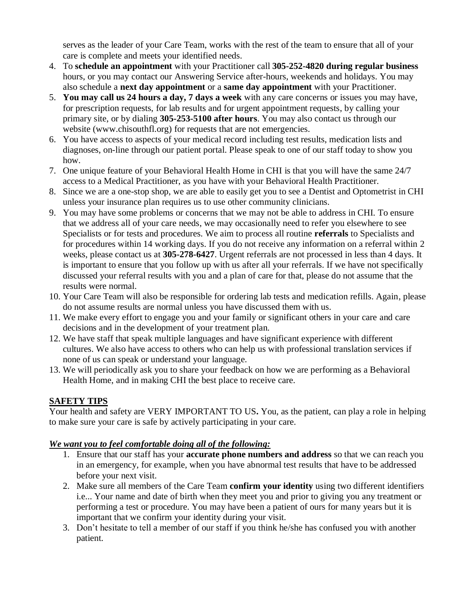serves as the leader of your Care Team, works with the rest of the team to ensure that all of your care is complete and meets your identified needs.

- 4. To **schedule an appointment** with your Practitioner call **305-252-4820 during regular business** hours, or you may contact our Answering Service after-hours, weekends and holidays. You may also schedule a **next day appointment** or a **same day appointment** with your Practitioner.
- 5. **You may call us 24 hours a day, 7 days a week** with any care concerns or issues you may have, for prescription requests, for lab results and for urgent appointment requests, by calling your primary site, or by dialing **305-253-5100 after hours**. You may also contact us through our website (www.chisouthfl.org) for requests that are not emergencies.
- 6. You have access to aspects of your medical record including test results, medication lists and diagnoses, on-line through our patient portal. Please speak to one of our staff today to show you how.
- 7. One unique feature of your Behavioral Health Home in CHI is that you will have the same 24/7 access to a Medical Practitioner, as you have with your Behavioral Health Practitioner.
- 8. Since we are a one-stop shop, we are able to easily get you to see a Dentist and Optometrist in CHI unless your insurance plan requires us to use other community clinicians.
- 9. You may have some problems or concerns that we may not be able to address in CHI. To ensure that we address all of your care needs, we may occasionally need to refer you elsewhere to see Specialists or for tests and procedures. We aim to process all routine **referrals** to Specialists and for procedures within 14 working days. If you do not receive any information on a referral within 2 weeks, please contact us at **305-278-6427**. Urgent referrals are not processed in less than 4 days. It is important to ensure that you follow up with us after all your referrals. If we have not specifically discussed your referral results with you and a plan of care for that, please do not assume that the results were normal.
- 10. Your Care Team will also be responsible for ordering lab tests and medication refills. Again, please do not assume results are normal unless you have discussed them with us.
- 11. We make every effort to engage you and your family or significant others in your care and care decisions and in the development of your treatment plan.
- 12. We have staff that speak multiple languages and have significant experience with different cultures. We also have access to others who can help us with professional translation services if none of us can speak or understand your language.
- 13. We will periodically ask you to share your feedback on how we are performing as a Behavioral Health Home, and in making CHI the best place to receive care.

## **SAFETY TIPS**

Your health and safety are VERY IMPORTANT TO US**.** You, as the patient, can play a role in helping to make sure your care is safe by actively participating in your care.

## *We want you to feel comfortable doing all of the following:*

- 1. Ensure that our staff has your **accurate phone numbers and address** so that we can reach you in an emergency, for example, when you have abnormal test results that have to be addressed before your next visit.
- 2. Make sure all members of the Care Team **confirm your identity** using two different identifiers i.e... Your name and date of birth when they meet you and prior to giving you any treatment or performing a test or procedure. You may have been a patient of ours for many years but it is important that we confirm your identity during your visit.
- 3. Don't hesitate to tell a member of our staff if you think he/she has confused you with another patient.